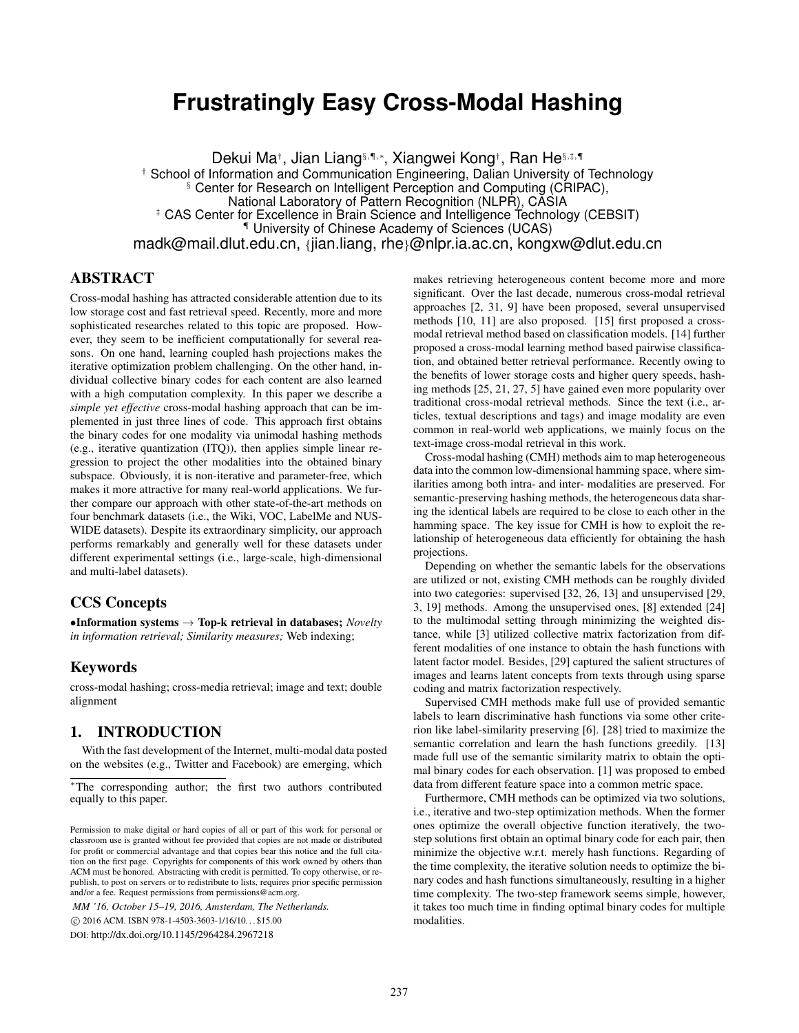# **Frustratingly Easy Cross-Modal Hashing**

Dekui Ma†, Jian Liang§,¶,∗, Xiangwei Kong†, Ran He§,‡,¶ † School of Information and Communication Engineering, Dalian University of Technology § Center for Research on Intelligent Perception and Computing (CRIPAC), National Laboratory of Pattern Recognition (NLPR), CASIA ‡ CAS Center for Excellence in Brain Science and Intelligence Technology (CEBSIT) ¶ University of Chinese Academy of Sciences (UCAS) madk@mail.dlut.edu.cn, {jian.liang, rhe}@nlpr.ia.ac.cn, kongxw@dlut.edu.cn

# ABSTRACT

Cross-modal hashing has attracted considerable attention due to its low storage cost and fast retrieval speed. Recently, more and more sophisticated researches related to this topic are proposed. However, they seem to be inefficient computationally for several reasons. On one hand, learning coupled hash projections makes the iterative optimization problem challenging. On the other hand, individual collective binary codes for each content are also learned with a high computation complexity. In this paper we describe a *simple yet effective* cross-modal hashing approach that can be implemented in just three lines of code. This approach first obtains the binary codes for one modality via unimodal hashing methods (e.g., iterative quantization (ITQ)), then applies simple linear regression to project the other modalities into the obtained binary subspace. Obviously, it is non-iterative and parameter-free, which makes it more attractive for many real-world applications. We further compare our approach with other state-of-the-art methods on four benchmark datasets (i.e., the Wiki, VOC, LabelMe and NUS-WIDE datasets). Despite its extraordinary simplicity, our approach performs remarkably and generally well for these datasets under different experimental settings (i.e., large-scale, high-dimensional and multi-label datasets).

## CCS Concepts

•Information systems → Top-k retrieval in databases; *Novelty in information retrieval; Similarity measures;* Web indexing;

## Keywords

cross-modal hashing; cross-media retrieval; image and text; double alignment

## 1. INTRODUCTION

With the fast development of the Internet, multi-modal data posted on the websites (e.g., Twitter and Facebook) are emerging, which

*MM '16, October 15–19, 2016, Amsterdam, The Netherlands.*

c 2016 ACM. ISBN 978-1-4503-3603-1/16/10. . . \$15.00

DOI: http://dx.doi.org/10.1145/2964284.2967218

makes retrieving heterogeneous content become more and more significant. Over the last decade, numerous cross-modal retrieval approaches [2, 31, 9] have been proposed, several unsupervised methods [10, 11] are also proposed. [15] first proposed a crossmodal retrieval method based on classification models. [14] further proposed a cross-modal learning method based pairwise classification, and obtained better retrieval performance. Recently owing to the benefits of lower storage costs and higher query speeds, hashing methods [25, 21, 27, 5] have gained even more popularity over traditional cross-modal retrieval methods. Since the text (i.e., articles, textual descriptions and tags) and image modality are even common in real-world web applications, we mainly focus on the text-image cross-modal retrieval in this work.

Cross-modal hashing (CMH) methods aim to map heterogeneous data into the common low-dimensional hamming space, where similarities among both intra- and inter- modalities are preserved. For semantic-preserving hashing methods, the heterogeneous data sharing the identical labels are required to be close to each other in the hamming space. The key issue for CMH is how to exploit the relationship of heterogeneous data efficiently for obtaining the hash projections.

Depending on whether the semantic labels for the observations are utilized or not, existing CMH methods can be roughly divided into two categories: supervised [32, 26, 13] and unsupervised [29, 3, 19] methods. Among the unsupervised ones, [8] extended [24] to the multimodal setting through minimizing the weighted distance, while [3] utilized collective matrix factorization from different modalities of one instance to obtain the hash functions with latent factor model. Besides, [29] captured the salient structures of images and learns latent concepts from texts through using sparse coding and matrix factorization respectively.

Supervised CMH methods make full use of provided semantic labels to learn discriminative hash functions via some other criterion like label-similarity preserving [6]. [28] tried to maximize the semantic correlation and learn the hash functions greedily. [13] made full use of the semantic similarity matrix to obtain the optimal binary codes for each observation. [1] was proposed to embed data from different feature space into a common metric space.

Furthermore, CMH methods can be optimized via two solutions, i.e., iterative and two-step optimization methods. When the former ones optimize the overall objective function iteratively, the twostep solutions first obtain an optimal binary code for each pair, then minimize the objective w.r.t. merely hash functions. Regarding of the time complexity, the iterative solution needs to optimize the binary codes and hash functions simultaneously, resulting in a higher time complexity. The two-step framework seems simple, however, it takes too much time in finding optimal binary codes for multiple modalities.

<sup>∗</sup>The corresponding author; the first two authors contributed equally to this paper.

Permission to make digital or hard copies of all or part of this work for personal or classroom use is granted without fee provided that copies are not made or distributed for profit or commercial advantage and that copies bear this notice and the full citation on the first page. Copyrights for components of this work owned by others than ACM must be honored. Abstracting with credit is permitted. To copy otherwise, or republish, to post on servers or to redistribute to lists, requires prior specific permission and/or a fee. Request permissions from permissions@acm.org.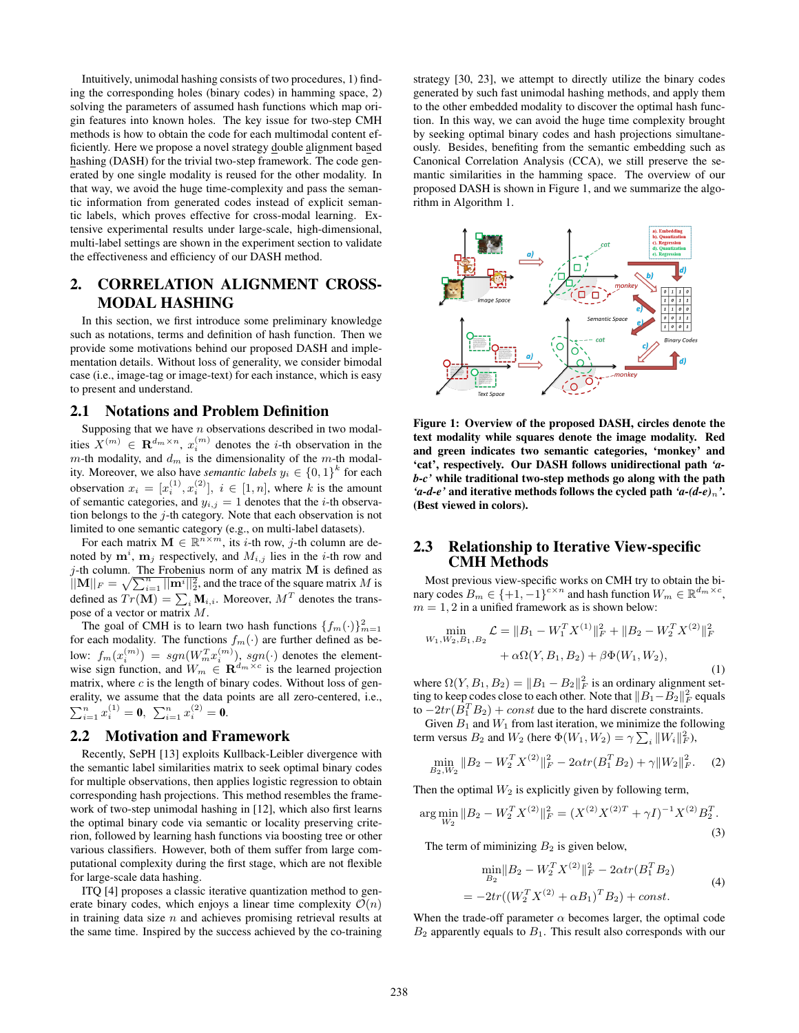Intuitively, unimodal hashing consists of two procedures, 1) finding the corresponding holes (binary codes) in hamming space, 2) solving the parameters of assumed hash functions which map origin features into known holes. The key issue for two-step CMH methods is how to obtain the code for each multimodal content efficiently. Here we propose a novel strategy double alignment based hashing (DASH) for the trivial two-step framework. The code generated by one single modality is reused for the other modality. In that way, we avoid the huge time-complexity and pass the semantic information from generated codes instead of explicit semantic labels, which proves effective for cross-modal learning. Extensive experimental results under large-scale, high-dimensional, multi-label settings are shown in the experiment section to validate the effectiveness and efficiency of our DASH method.

# 2. CORRELATION ALIGNMENT CROSS-MODAL HASHING

In this section, we first introduce some preliminary knowledge such as notations, terms and definition of hash function. Then we provide some motivations behind our proposed DASH and implementation details. Without loss of generality, we consider bimodal case (i.e., image-tag or image-text) for each instance, which is easy to present and understand.

#### 2.1 Notations and Problem Definition

Supposing that we have  $n$  observations described in two modalities  $X^{(m)} \in \mathbf{R}^{d_m \times n}$ ,  $x_i^{(m)}$  denotes the *i*-th observation in the m-th modality, and  $d_m$  is the dimensionality of the m-th modality. Moreover, we also have *semantic labels*  $y_i \in \{0,1\}^k$  for each observation  $x_i = [x_i^{(1)}, x_i^{(2)}], i \in [1, n]$ , where k is the amount of semantic categories, and  $y_{i,j} = 1$  denotes that the *i*-th observation belongs to the j-th category. Note that each observation is not limited to one semantic category (e.g., on multi-label datasets).

For each matrix  $\mathbf{M} \in \mathbb{R}^{n \times m}$ , its *i*-th row, *j*-th column are denoted by  $\mathbf{m}^i$ ,  $\mathbf{m}_j$  respectively, and  $M_{i,j}$  lies in the *i*-th row and j-th column. The Frobenius norm of any matrix  $M$  is defined as  $||M||_F = \sqrt{\sum_{i=1}^n ||\mathbf{m}^i||_2^2}$ , and the trace of the square matrix M is defined as  $Tr(\mathbf{M}) = \sum_i \mathbf{M}_{i,i}$ . Moreover,  $M^T$  denotes the transpose of a vector or matrix M.

The goal of CMH is to learn two hash functions  $\{f_m(\cdot)\}_{m=1}^2$ for each modality. The functions  $f_m(\cdot)$  are further defined as below:  $f_m(x_i^{(m)}) = sgn(W_m^T x_i^{(m)}), sgn(\cdot)$  denotes the elementwise sign function, and  $W_m \in \mathbf{R}^{d_m \times c}$  is the learned projection matrix, where  $c$  is the length of binary codes. Without loss of generality, we assume that the data points are all zero-centered, i.e.,  $\sum_{i=1}^n x_i^{(1)} = \mathbf{0}, \ \sum_{i=1}^n x_i^{(2)} = \mathbf{0}.$ 

## 2.2 Motivation and Framework

Recently, SePH [13] exploits Kullback-Leibler divergence with the semantic label similarities matrix to seek optimal binary codes for multiple observations, then applies logistic regression to obtain corresponding hash projections. This method resembles the framework of two-step unimodal hashing in [12], which also first learns the optimal binary code via semantic or locality preserving criterion, followed by learning hash functions via boosting tree or other various classifiers. However, both of them suffer from large computational complexity during the first stage, which are not flexible for large-scale data hashing.

ITQ [4] proposes a classic iterative quantization method to generate binary codes, which enjoys a linear time complexity  $\mathcal{O}(n)$ in training data size  $n$  and achieves promising retrieval results at the same time. Inspired by the success achieved by the co-training strategy [30, 23], we attempt to directly utilize the binary codes generated by such fast unimodal hashing methods, and apply them to the other embedded modality to discover the optimal hash function. In this way, we can avoid the huge time complexity brought by seeking optimal binary codes and hash projections simultaneously. Besides, benefiting from the semantic embedding such as Canonical Correlation Analysis (CCA), we still preserve the semantic similarities in the hamming space. The overview of our proposed DASH is shown in Figure 1, and we summarize the algorithm in Algorithm 1.



Figure 1: Overview of the proposed DASH, circles denote the text modality while squares denote the image modality. Red and green indicates two semantic categories, 'monkey' and 'cat', respectively. Our DASH follows unidirectional path *'ab-c'* while traditional two-step methods go along with the path *'a-d-e'* and iterative methods follows the cycled path *'a-(d-e)*n*'*. (Best viewed in colors).

## 2.3 Relationship to Iterative View-specific CMH Methods

Most previous view-specific works on CMH try to obtain the binary codes  $B_m \in \{+1, -1\}^{c \times n}$  and hash function  $W_m \in \mathbb{R}^{d_m \times c}$ ,  $m = 1, 2$  in a unified framework as is shown below:

$$
\min_{W_1, W_2, B_1, B_2} \mathcal{L} = \|B_1 - W_1^T X^{(1)}\|_F^2 + \|B_2 - W_2^T X^{(2)}\|_F^2 + \alpha \Omega(Y, B_1, B_2) + \beta \Phi(W_1, W_2),
$$
\n(1)

where  $\Omega(Y, B_1, B_2) = ||B_1 - B_2||_F^2$  is an ordinary alignment setting to keep codes close to each other. Note that  $||B_1 - B_2||_F^2$  equals to  $-2tr(B_1^T B_2) + const$  due to the hard discrete constraints.

Given  $B_1$  and  $W_1$  from last iteration, we minimize the following term versus  $B_2$  and  $W_2$  (here  $\Phi(W_1, W_2) = \gamma \sum_i \|W_i\|_F^2$ ),

$$
\min_{B_2, W_2} \|B_2 - W_2^T X^{(2)}\|_F^2 - 2\alpha tr(B_1^T B_2) + \gamma \|W_2\|_F^2. \tag{2}
$$

Then the optimal  $W_2$  is explicitly given by following term,

$$
\arg\min_{W_2} \|B_2 - W_2^T X^{(2)}\|_F^2 = (X^{(2)} X^{(2)T} + \gamma I)^{-1} X^{(2)} B_2^T.
$$
\n(3)

The term of miminizing  $B_2$  is given below,

$$
\min_{B_2} \|B_2 - W_2^T X^{(2)}\|_F^2 - 2\alpha tr(B_1^T B_2)
$$
  
=  $-2tr((W_2^T X^{(2)} + \alpha B_1)^T B_2) + const.$  (4)

When the trade-off parameter  $\alpha$  becomes larger, the optimal code  $B_2$  apparently equals to  $B_1$ . This result also corresponds with our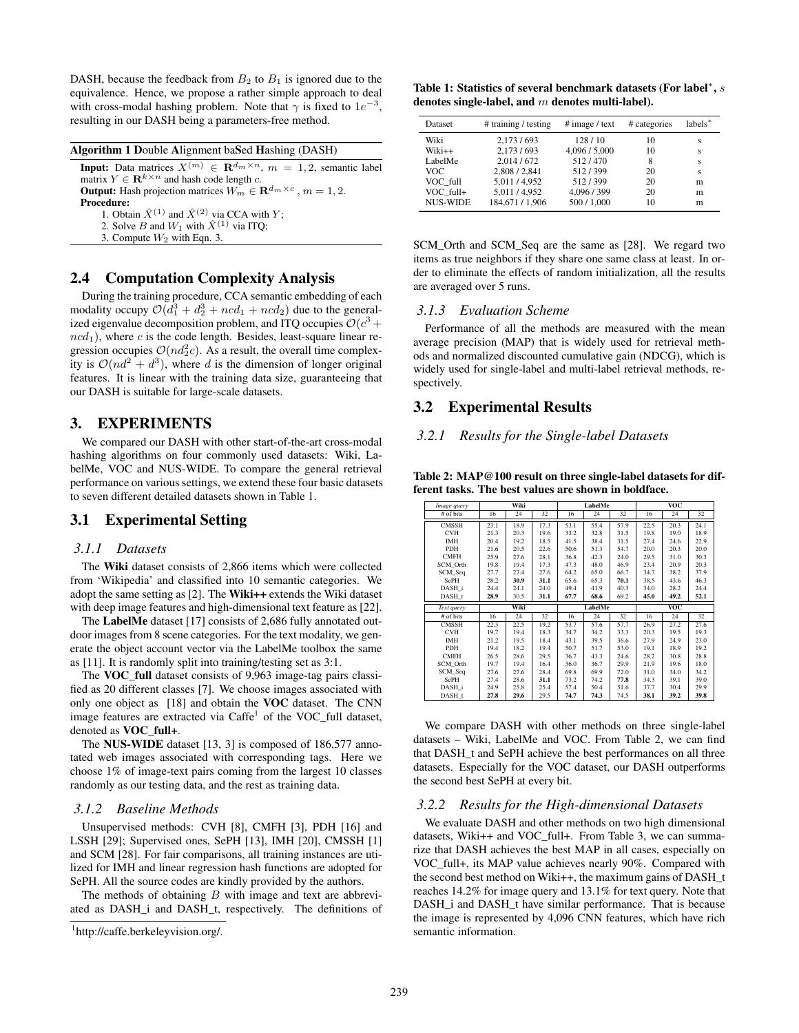DASH, because the feedback from  $B_2$  to  $B_1$  is ignored due to the equivalence. Hence, we propose a rather simple approach to deal with cross-modal hashing problem. Note that  $\gamma$  is fixed to  $1e^{-3}$ , resulting in our DASH being a parameters-free method.

|  |  | Algorithm 1 Double Alignment baSed Hashing (DASH) |
|--|--|---------------------------------------------------|
|--|--|---------------------------------------------------|

**Input:** Data matrices  $X^{(m)} \in \mathbb{R}^{d_m \times n}$ ,  $m = 1, 2$ , semantic label matrix  $Y \in \mathbf{R}^{k \times n}$  and hash code length c. **Output:** Hash projection matrices  $W_m \in \mathbb{R}^{d_m \times c}$ ,  $m = 1, 2$ . Procedure: 1. Obtain  $\hat{X}^{(1)}$  and  $\hat{X}^{(2)}$  via CCA with Y; 2. Solve B and  $W_1$  with  $\hat{X}^{(1)}$  via ITQ;

3. Compute  $W_2$  with Eqn. 3.

## 2.4 Computation Complexity Analysis

During the training procedure, CCA semantic embedding of each modality occupy  $\mathcal{O}(d_1^3 + d_2^3 + ncd_1 + ncd_2)$  due to the generalized eigenvalue decomposition problem, and ITQ occupies  $\mathcal{O}(c^3 +$  $ncd_1$ ), where c is the code length. Besides, least-square linear regression occupies  $\mathcal{O}(nd_2^2c)$ . As a result, the overall time complexity is  $\mathcal{O}(nd^2 + d^3)$ , where d is the dimension of longer original features. It is linear with the training data size, guaranteeing that our DASH is suitable for large-scale datasets.

## 3. EXPERIMENTS

We compared our DASH with other start-of-the-art cross-modal hashing algorithms on four commonly used datasets: Wiki, LabelMe, VOC and NUS-WIDE. To compare the general retrieval performance on various settings, we extend these four basic datasets to seven different detailed datasets shown in Table 1.

## 3.1 Experimental Setting

#### *3.1.1 Datasets*

The Wiki dataset consists of 2,866 items which were collected from 'Wikipedia' and classified into 10 semantic categories. We adopt the same setting as [2]. The Wiki++ extends the Wiki dataset with deep image features and high-dimensional text feature as [22].

The LabelMe dataset [17] consists of 2,686 fully annotated outdoor images from 8 scene categories. For the text modality, we generate the object account vector via the LabelMe toolbox the same as [11]. It is randomly split into training/testing set as 3:1.

The VOC\_full dataset consists of 9,963 image-tag pairs classified as 20 different classes [7]. We choose images associated with only one object as [18] and obtain the VOC dataset. The CNN image features are extracted via Caffe<sup>1</sup> of the VOC\_full dataset, denoted as VOC\_full+.

The NUS-WIDE dataset [13, 3] is composed of 186,577 annotated web images associated with corresponding tags. Here we choose 1% of image-text pairs coming from the largest 10 classes randomly as our testing data, and the rest as training data.

#### *3.1.2 Baseline Methods*

Unsupervised methods: CVH [8], CMFH [3], PDH [16] and LSSH [29]; Supervised ones, SePH [13], IMH [20], CMSSH [1] and SCM [28]. For fair comparisons, all training instances are utilized for IMH and linear regression hash functions are adopted for SePH. All the source codes are kindly provided by the authors.

The methods of obtaining  $B$  with image and text are abbreviated as DASH\_i and DASH\_t, respectively. The definitions of

Table 1: Statistics of several benchmark datasets (For label<sup>\*</sup>,  $s$ denotes single-label, and  $m$  denotes multi-label).

| Dataset         | # training / testing       | # image / text     | # categories | labels <sup>*</sup> |
|-----------------|----------------------------|--------------------|--------------|---------------------|
| Wiki            | 2,173/693                  | 128/10             | 10           | S                   |
| Wiki++          | 2,173/693                  | 4,096 / 5,000      | 10           | S                   |
| LabelMe<br>VOC. | 2.014/672<br>2,808 / 2,841 | 512/470<br>512/399 | 8<br>20      | S<br>S              |
| VOC full        | 5,011/4,952                | 512/399            | 20           | m                   |
| VOC full+       | 5,011/4,952                | 4,096 / 399        | 20           | m                   |
| <b>NUS-WIDE</b> | 184,671 / 1,906            | 500 / 1,000        | 10           | m                   |

SCM\_Orth and SCM\_Seq are the same as [28]. We regard two items as true neighbors if they share one same class at least. In order to eliminate the effects of random initialization, all the results are averaged over 5 runs.

#### *3.1.3 Evaluation Scheme*

Performance of all the methods are measured with the mean average precision (MAP) that is widely used for retrieval methods and normalized discounted cumulative gain (NDCG), which is widely used for single-label and multi-label retrieval methods, respectively.

### 3.2 Experimental Results

#### *3.2.1 Results for the Single-label Datasets*

Table 2: MAP@100 result on three single-label datasets for different tasks. The best values are shown in boldface.

| Image query       | Wiki |      |      | LabelMe |         |      | <b>VOC</b> |            |      |
|-------------------|------|------|------|---------|---------|------|------------|------------|------|
| # of bits         | 16   | 24   | 32   | 16      | 24      | 32   | 16         | 24         | 32   |
| <b>CMSSH</b>      | 23.1 | 18.9 | 17.3 | 53.1    | 55.4    | 57.9 | 22.5       | 20.3       | 24.1 |
| <b>CVH</b>        | 21.3 | 20.3 | 19.6 | 33.2    | 32.8    | 31.5 | 19.8       | 19.0       | 18.9 |
| IMH               | 20.4 | 19.2 | 18.5 | 41.5    | 38.4    | 31.5 | 27.4       | 24.6       | 22.9 |
| <b>PDH</b>        | 21.6 | 20.5 | 22.6 | 50.6    | 51.3    | 54.7 | 20.0       | 20.3       | 20.0 |
| <b>CMFH</b>       | 25.9 | 27.6 | 28.1 | 36.8    | 42.3    | 24.0 | 29.5       | 31.0       | 30.3 |
| SCM Orth          | 19.8 | 19.4 | 17.3 | 47.3    | 48.0    | 46.9 | 23.4       | 20.9       | 20.3 |
| SCM_Seq           | 27.7 | 27.4 | 27.6 | 64.2    | 65.0    | 66.7 | 34.7       | 38.2       | 37.9 |
| SePH              | 28.2 | 30.9 | 31.1 | 65.6    | 65.3    | 70.1 | 38.5       | 43.6       | 46.3 |
| DASH i            | 24.4 | 24.1 | 24.0 | 49.4    | 41.9    | 40.3 | 34.0       | 28.2       | 24.4 |
| DASH t            | 28.9 | 30.5 | 31.1 | 67.7    | 68.6    | 69.2 | 45.0       | 49.2       | 52.1 |
| Text query        |      | Wiki |      |         | LabelMe |      |            | <b>VOC</b> |      |
| # of bits         | 16   | 24   | 32   | 16      | 24      | 32   | 16         | 24         | 32   |
| <b>CMSSH</b>      | 22.3 | 22.5 | 19.2 | 53.7    | 57.6    | 57.7 | 26.9       | 27.2       | 27.6 |
| <b>CVH</b>        | 19.7 | 19.4 | 18.3 | 34.7    | 34.2    | 33.3 | 20.3       | 19.5       | 19.3 |
| IMH               | 21.2 | 19.5 | 18.4 | 43.1    | 39.5    | 36.6 | 27.9       | 24.9       | 23.0 |
| <b>PDH</b>        | 19.4 | 18.2 | 19.4 | 50.7    | 51.7    | 53.0 | 19.1       | 18.9       | 19.2 |
| <b>CMFH</b>       | 26.5 | 28.6 | 29.5 | 36.7    | 43.3    | 24.6 | 28.2       | 30.8       | 28.8 |
| SCM Orth          | 19.7 | 19.4 | 16.4 | 36.0    | 36.7    | 29.9 | 21.9       | 19.6       | 18.0 |
| SCM Seq           | 27.6 | 27.6 | 28.4 | 69.8    | 69.9    | 72.0 | 31.0       | 34.0       | 34.2 |
| <b>SePH</b>       | 27.4 | 28.6 | 31.1 | 73.2    | 74.2    | 77.8 | 34.3       | 39.1       | 39.0 |
| DASH i            | 24.9 | 25.8 | 25.4 | 57.4    | 50.4    | 51.6 | 37.7       | 30.4       | 29.9 |
| DASH <sub>t</sub> | 27.8 | 29.6 | 29.5 | 74.7    | 74.3    | 74.5 | 38.1       | 39.2       | 39.8 |

We compare DASH with other methods on three single-label datasets – Wiki, LabelMe and VOC. From Table 2, we can find that DASH\_t and SePH achieve the best performances on all three datasets. Especially for the VOC dataset, our DASH outperforms the second best SePH at every bit.

#### *3.2.2 Results for the High-dimensional Datasets*

We evaluate DASH and other methods on two high dimensional datasets, Wiki++ and VOC\_full+. From Table 3, we can summarize that DASH achieves the best MAP in all cases, especially on VOC\_full+, its MAP value achieves nearly 90%. Compared with the second best method on Wiki++, the maximum gains of DASH\_t reaches 14.2% for image query and 13.1% for text query. Note that DASH\_i and DASH\_t have similar performance. That is because the image is represented by 4,096 CNN features, which have rich semantic information.

<sup>1</sup> http://caffe.berkeleyvision.org/.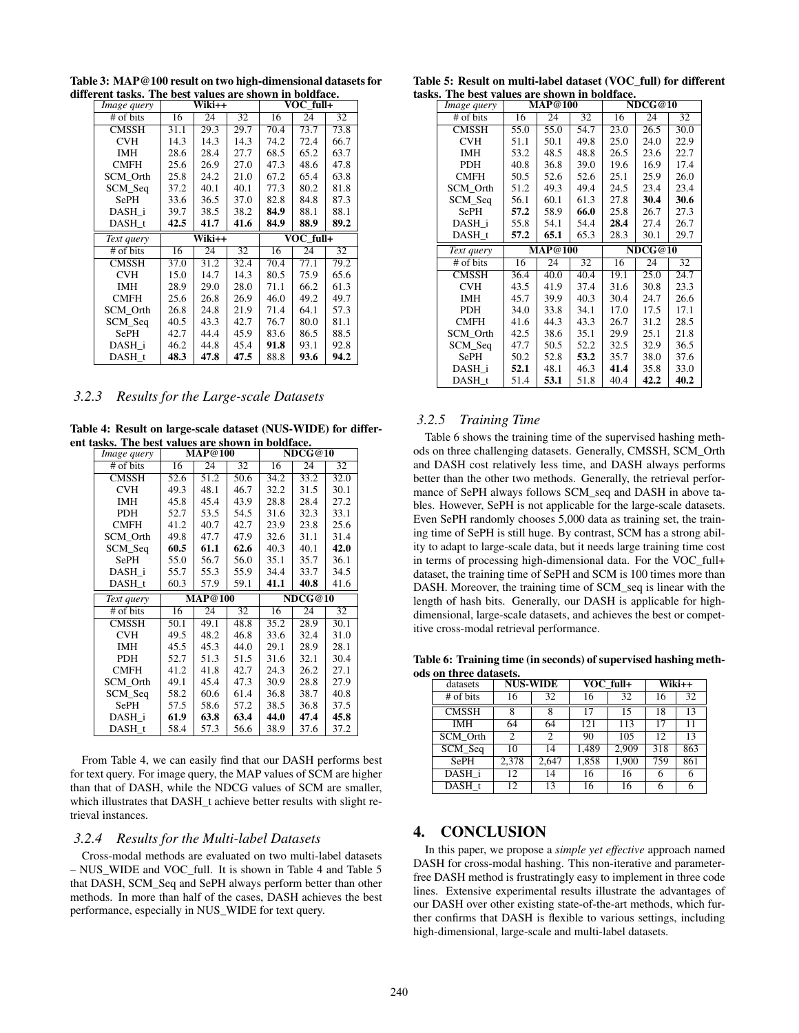Table 3: MAP@100 result on two high-dimensional datasets for different tasks. The best values are shown in boldface.

| Image query  | Wiki++ |        |      |      | VOC full+ |      |
|--------------|--------|--------|------|------|-----------|------|
| # of bits    | 16     | 24     | 32   | 16   | 24        | 32   |
| <b>CMSSH</b> | 31.1   | 29.3   | 29.7 | 70.4 | 73.7      | 73.8 |
| <b>CVH</b>   | 14.3   | 14.3   | 14.3 | 74.2 | 72.4      | 66.7 |
| IMH          | 28.6   | 28.4   | 27.7 | 68.5 | 65.2      | 63.7 |
| <b>CMFH</b>  | 25.6   | 26.9   | 27.0 | 47.3 | 48.6      | 47.8 |
| SCM Orth     | 25.8   | 24.2   | 21.0 | 67.2 | 65.4      | 63.8 |
| SCM_Seq      | 37.2   | 40.1   | 40.1 | 77.3 | 80.2      | 81.8 |
| <b>SePH</b>  | 33.6   | 36.5   | 37.0 | 82.8 | 84.8      | 87.3 |
| DASH i       | 39.7   | 38.5   | 38.2 | 84.9 | 88.1      | 88.1 |
| DASH t       | 42.5   | 41.7   | 41.6 | 84.9 | 88.9      | 89.2 |
|              |        |        |      |      |           |      |
| Text query   |        | Wiki++ |      |      | VOC full+ |      |
| # of bits    | 16     | 24     | 32   | 16   | 24        | 32   |
| CMSSH        | 37.0   | 31.2   | 32.4 | 70.4 | 77.1      | 79.2 |
| <b>CVH</b>   | 15.0   | 14.7   | 14.3 | 80.5 | 75.9      | 65.6 |
| IMH          | 28.9   | 29.0   | 28.0 | 71.1 | 66.2      | 61.3 |
| CMFH         | 25.6   | 26.8   | 26.9 | 46.0 | 49.2      | 49.7 |
| SCM Orth     | 26.8   | 24.8   | 21.9 | 71.4 | 64.1      | 57.3 |
| SCM_Seq      | 40.5   | 43.3   | 42.7 | 76.7 | 80.0      | 81.1 |
| <b>SePH</b>  | 42.7   | 44.4   | 45.9 | 83.6 | 86.5      | 88.5 |
| DASH i       | 46.2   | 44.8   | 45.4 | 91.8 | 93.1      | 92.8 |

#### *3.2.3 Results for the Large-scale Datasets*

Table 4: Result on large-scale dataset (NUS-WIDE) for different tasks. The best values are shown in boldface.

| Image query  | <b>MAP@100</b> |                |         |      | NDCG@10 |      |
|--------------|----------------|----------------|---------|------|---------|------|
| # of bits    | 16             | 24             | 32      | 16   | 24      | 32   |
| <b>CMSSH</b> | 52.6           | 51.2           | 50.6    | 34.2 | 33.2    | 32.0 |
| <b>CVH</b>   | 49.3           | 48.1           | 46.7    | 32.2 | 31.5    | 30.1 |
| IMH          | 45.8           | 45.4           | 43.9    | 28.8 | 28.4    | 27.2 |
| <b>PDH</b>   | 52.7           | 53.5           | 54.5    | 31.6 | 32.3    | 33.1 |
| <b>CMFH</b>  | 41.2           | 40.7           | 42.7    | 23.9 | 23.8    | 25.6 |
| SCM Orth     | 49.8           | 47.7           | 47.9    | 32.6 | 31.1    | 31.4 |
| SCM_Seq      | 60.5           | 61.1           | 62.6    | 40.3 | 40.1    | 42.0 |
| <b>SePH</b>  | 55.0           | 56.7           | 56.0    | 35.1 | 35.7    | 36.1 |
| DASH i       | 55.7           | 55.3           | 55.9    | 34.4 | 33.7    | 34.5 |
| DASH t       | 60.3           | 57.9           | 59.1    | 41.1 | 40.8    | 41.6 |
|              |                |                | NDCG@10 |      |         |      |
| Text query   |                | <b>MAP@100</b> |         |      |         |      |
| # of bits    | 16             | 24             | 32      | 16   | 24      | 32   |
| <b>CMSSH</b> | 50.1           | 49.1           | 48.8    | 35.2 | 28.9    | 30.1 |
| <b>CVH</b>   | 49.5           | 48.2           | 46.8    | 33.6 | 32.4    | 31.0 |
| <b>IMH</b>   | 45.5           | 45.3           | 44.0    | 29.1 | 28.9    | 28.1 |
| <b>PDH</b>   | 52.7           | 51.3           | 51.5    | 31.6 | 32.1    | 30.4 |
| <b>CMFH</b>  | 41.2           | 41.8           | 42.7    | 24.3 | 26.2    | 27.1 |
| SCM Orth     | 49.1           | 45.4           | 47.3    | 30.9 | 28.8    | 27.9 |
| SCM_Seq      | 58.2           | 60.6           | 61.4    | 36.8 | 38.7    | 40.8 |
| <b>SePH</b>  | 57.5           | 58.6           | 57.2    | 38.5 | 36.8    | 37.5 |
| DASH i       | 61.9           | 63.8           | 63.4    | 44.0 | 47.4    | 45.8 |

From Table 4, we can easily find that our DASH performs best for text query. For image query, the MAP values of SCM are higher than that of DASH, while the NDCG values of SCM are smaller, which illustrates that DASH\_t achieve better results with slight retrieval instances.

#### *3.2.4 Results for the Multi-label Datasets*

Cross-modal methods are evaluated on two multi-label datasets – NUS\_WIDE and VOC\_full. It is shown in Table 4 and Table 5 that DASH, SCM\_Seq and SePH always perform better than other methods. In more than half of the cases, DASH achieves the best performance, especially in NUS\_WIDE for text query.

Table 5: Result on multi-label dataset (VOC\_full) for different tasks. The best values are shown in boldface.

| .                  |      |                |      |      |         |      |  |  |  |
|--------------------|------|----------------|------|------|---------|------|--|--|--|
| <i>Image query</i> |      | <b>MAP@100</b> |      |      | NDCG@10 |      |  |  |  |
| # of bits          | 16   | 24             | 32   | 16   | 24      | 32   |  |  |  |
| <b>CMSSH</b>       | 55.0 | 55.0           | 54.7 | 23.0 | 26.5    | 30.0 |  |  |  |
| <b>CVH</b>         | 51.1 | 50.1           | 49.8 | 25.0 | 24.0    | 22.9 |  |  |  |
| <b>IMH</b>         | 53.2 | 48.5           | 48.8 | 26.5 | 23.6    | 22.7 |  |  |  |
| <b>PDH</b>         | 40.8 | 36.8           | 39.0 | 19.6 | 16.9    | 17.4 |  |  |  |
| <b>CMFH</b>        | 50.5 | 52.6           | 52.6 | 25.1 | 25.9    | 26.0 |  |  |  |
| SCM Orth           | 51.2 | 49.3           | 49.4 | 24.5 | 23.4    | 23.4 |  |  |  |
| SCM_Seq            | 56.1 | 60.1           | 61.3 | 27.8 | 30.4    | 30.6 |  |  |  |
| SePH               | 57.2 | 58.9           | 66.0 | 25.8 | 26.7    | 27.3 |  |  |  |
| DASH_i             | 55.8 | 54.1           | 54.4 | 28.4 | 27.4    | 26.7 |  |  |  |
| DASH t             | 57.2 | 65.1           | 65.3 | 28.3 | 30.1    | 29.7 |  |  |  |
|                    |      |                |      |      |         |      |  |  |  |
| Text query         |      | <b>MAP@100</b> |      |      | NDCG@10 |      |  |  |  |
| # of bits          | 16   | 24             | 32   | 16   | 24      | 32   |  |  |  |
| <b>CMSSH</b>       | 36.4 | 40.0           | 40.4 | 19.1 | 25.0    | 24.7 |  |  |  |
| <b>CVH</b>         | 43.5 | 41.9           | 37.4 | 31.6 | 30.8    | 23.3 |  |  |  |
| <b>IMH</b>         | 45.7 | 39.9           | 40.3 | 30.4 | 24.7    | 26.6 |  |  |  |
| <b>PDH</b>         | 34.0 | 33.8           | 34.1 | 17.0 | 17.5    | 17.1 |  |  |  |
| <b>CMFH</b>        | 41.6 | 44.3           | 43.3 | 26.7 | 31.2    | 28.5 |  |  |  |
| SCM Orth           | 42.5 | 38.6           | 35.1 | 29.9 | 25.1    | 21.8 |  |  |  |
| SCM_Seq            | 47.7 | 50.5           | 52.2 | 32.5 | 32.9    | 36.5 |  |  |  |
| <b>SePH</b>        | 50.2 | 52.8           | 53.2 | 35.7 | 38.0    | 37.6 |  |  |  |
| DASH i             | 52.1 | 48.1           | 46.3 | 41.4 | 35.8    | 33.0 |  |  |  |

#### *3.2.5 Training Time*

Table 6 shows the training time of the supervised hashing methods on three challenging datasets. Generally, CMSSH, SCM\_Orth and DASH cost relatively less time, and DASH always performs better than the other two methods. Generally, the retrieval performance of SePH always follows SCM\_seq and DASH in above tables. However, SePH is not applicable for the large-scale datasets. Even SePH randomly chooses 5,000 data as training set, the training time of SePH is still huge. By contrast, SCM has a strong ability to adapt to large-scale data, but it needs large training time cost in terms of processing high-dimensional data. For the VOC\_full+ dataset, the training time of SePH and SCM is 100 times more than DASH. Moreover, the training time of SCM\_seq is linear with the length of hash bits. Generally, our DASH is applicable for highdimensional, large-scale datasets, and achieves the best or competitive cross-modal retrieval performance.

Table 6: Training time (in seconds) of supervised hashing methods on three datasets.

| um co ununcer     |       |                 |       |           |     |        |  |  |  |  |
|-------------------|-------|-----------------|-------|-----------|-----|--------|--|--|--|--|
| datasets          |       | <b>NUS-WIDE</b> |       | VOC full+ |     | Wiki++ |  |  |  |  |
| $#$ of bits       | 16    | 32              | 16    | 32        | 16  | 32     |  |  |  |  |
| <b>CMSSH</b>      | 8     | 8               | 17    | 15        | 18  | 13     |  |  |  |  |
| <b>IMH</b>        | 64    | 64              | 121   | 113       | 17  | 11     |  |  |  |  |
| <b>SCM</b> Orth   |       |                 | 90    | 105       | 12  | 13     |  |  |  |  |
| SCM_Seq           | 10    | 14              | 1,489 | 2,909     | 318 | 863    |  |  |  |  |
| <b>SePH</b>       | 2,378 | 2,647           | 1,858 | 1,900     | 759 | 861    |  |  |  |  |
| DASH i            | 12    | 14              | 16    | 16        | 6   | O      |  |  |  |  |
| DASH <sub>t</sub> | 12    |                 |       |           |     |        |  |  |  |  |

## 4. CONCLUSION

In this paper, we propose a *simple yet effective* approach named DASH for cross-modal hashing. This non-iterative and parameterfree DASH method is frustratingly easy to implement in three code lines. Extensive experimental results illustrate the advantages of our DASH over other existing state-of-the-art methods, which further confirms that DASH is flexible to various settings, including high-dimensional, large-scale and multi-label datasets.